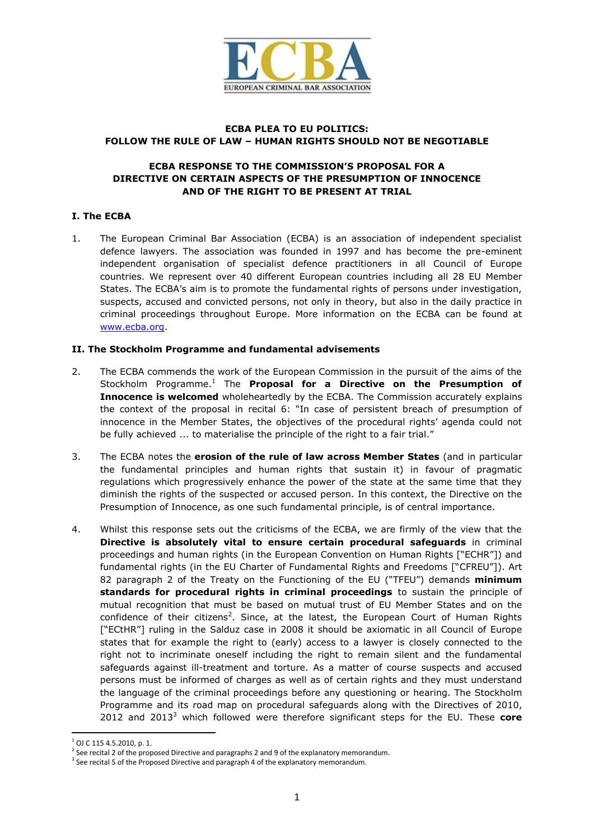

## **ECBA PLEA TO EU POLITICS: FOLLOW THE RULE OF LAW – HUMAN RIGHTS SHOULD NOT BE NEGOTIABLE**

# **ECBA RESPONSE TO THE COMMISSION'S PROPOSAL FOR A DIRECTIVE ON CERTAIN ASPECTS OF THE PRESUMPTION OF INNOCENCE AND OF THE RIGHT TO BE PRESENT AT TRIAL**

# **I. The ECBA**

1. The European Criminal Bar Association (ECBA) is an association of independent specialist defence lawyers. The association was founded in 1997 and has become the pre-eminent independent organisation of specialist defence practitioners in all Council of Europe countries. We represent over 40 different European countries including all 28 EU Member States. The ECBA's aim is to promote the fundamental rights of persons under investigation, suspects, accused and convicted persons, not only in theory, but also in the daily practice in criminal proceedings throughout Europe. More information on the ECBA can be found at [www.ecba.org.](http://www.ecba.org/)

### **II. The Stockholm Programme and fundamental advisements**

- 2. The ECBA commends the work of the European Commission in the pursuit of the aims of the Stockholm Programme. <sup>1</sup> The **Proposal for a Directive on the Presumption of Innocence is welcomed** wholeheartedly by the ECBA. The Commission accurately explains the context of the proposal in recital 6: "In case of persistent breach of presumption of innocence in the Member States, the objectives of the procedural rights' agenda could not be fully achieved ... to materialise the principle of the right to a fair trial."
- 3. The ECBA notes the **erosion of the rule of law across Member States** (and in particular the fundamental principles and human rights that sustain it) in favour of pragmatic regulations which progressively enhance the power of the state at the same time that they diminish the rights of the suspected or accused person. In this context, the Directive on the Presumption of Innocence, as one such fundamental principle, is of central importance.
- 4. Whilst this response sets out the criticisms of the ECBA, we are firmly of the view that the **Directive is absolutely vital to ensure certain procedural safeguards** in criminal proceedings and human rights (in the European Convention on Human Rights ["ECHR"]) and fundamental rights (in the EU Charter of Fundamental Rights and Freedoms ["CFREU"]). Art 82 paragraph 2 of the Treaty on the Functioning of the EU ("TFEU") demands **minimum standards for procedural rights in criminal proceedings** to sustain the principle of mutual recognition that must be based on mutual trust of EU Member States and on the confidence of their citizens<sup>2</sup>. Since, at the latest, the European Court of Human Rights ["ECtHR"] ruling in the Salduz case in 2008 it should be axiomatic in all Council of Europe states that for example the right to (early) access to a lawyer is closely connected to the right not to incriminate oneself including the right to remain silent and the fundamental safeguards against ill-treatment and torture. As a matter of course suspects and accused persons must be informed of charges as well as of certain rights and they must understand the language of the criminal proceedings before any questioning or hearing. The Stockholm Programme and its road map on procedural safeguards along with the Directives of 2010, 2012 and 2013<sup>3</sup> which followed were therefore significant steps for the EU. These **core**

<sup>1</sup>  $1$  OJ C 115 4.5.2010, p. 1.

 $2$  See recital 2 of the proposed Directive and paragraphs 2 and 9 of the explanatory memorandum.

 $3$  See recital 5 of the Proposed Directive and paragraph 4 of the explanatory memorandum.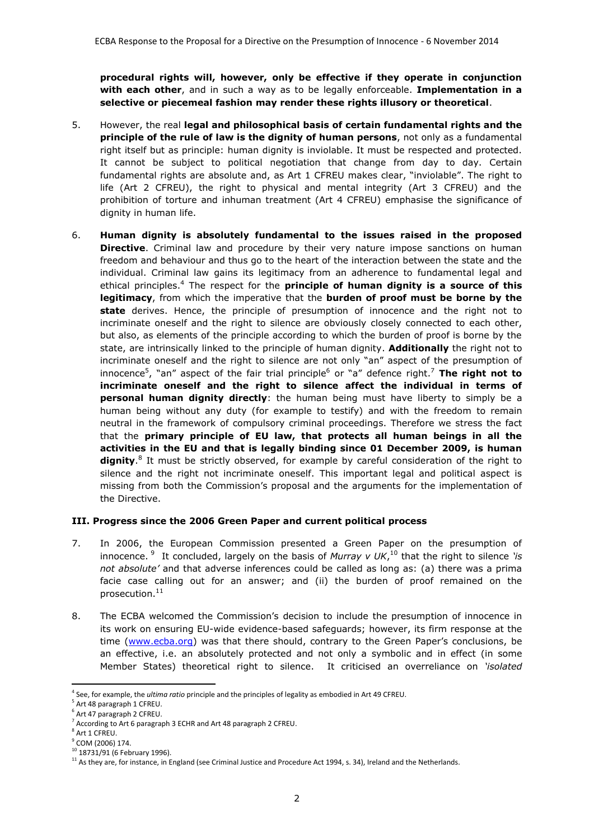**procedural rights will, however, only be effective if they operate in conjunction with each other**, and in such a way as to be legally enforceable. **Implementation in a selective or piecemeal fashion may render these rights illusory or theoretical**.

- 5. However, the real **legal and philosophical basis of certain fundamental rights and the principle of the rule of law is the dignity of human persons**, not only as a fundamental right itself but as principle: human dignity is inviolable. It must be respected and protected. It cannot be subject to political negotiation that change from day to day. Certain fundamental rights are absolute and, as Art 1 CFREU makes clear, "inviolable". The right to life (Art 2 CFREU), the right to physical and mental integrity (Art 3 CFREU) and the prohibition of torture and inhuman treatment (Art 4 CFREU) emphasise the significance of dignity in human life.
- 6. **Human dignity is absolutely fundamental to the issues raised in the proposed Directive**. Criminal law and procedure by their very nature impose sanctions on human freedom and behaviour and thus go to the heart of the interaction between the state and the individual. Criminal law gains its legitimacy from an adherence to fundamental legal and ethical principles.<sup>4</sup> The respect for the **principle of human dignity is a source of this legitimacy**, from which the imperative that the **burden of proof must be borne by the state** derives. Hence, the principle of presumption of innocence and the right not to incriminate oneself and the right to silence are obviously closely connected to each other, but also, as elements of the principle according to which the burden of proof is borne by the state, are intrinsically linked to the principle of human dignity. **Additionally** the right not to incriminate oneself and the right to silence are not only "an" aspect of the presumption of innocence<sup>5</sup>, "an" aspect of the fair trial principle<sup>6</sup> or "a" defence right.<sup>7</sup> The right not to **incriminate oneself and the right to silence affect the individual in terms of personal human dignity directly**: the human being must have liberty to simply be a human being without any duty (for example to testify) and with the freedom to remain neutral in the framework of compulsory criminal proceedings. Therefore we stress the fact that the **primary principle of EU law, that protects all human beings in all the activities in the EU and that is legally binding since 01 December 2009, is human dignity**. 8 It must be strictly observed, for example by careful consideration of the right to silence and the right not incriminate oneself. This important legal and political aspect is missing from both the Commission's proposal and the arguments for the implementation of the Directive.

#### **III. Progress since the 2006 Green Paper and current political process**

- 7. In 2006, the European Commission presented a Green Paper on the presumption of innocence. <sup>9</sup> It concluded, largely on the basis of *Murray v UK*,<sup>10</sup> that the right to silence *'is not absolute'* and that adverse inferences could be called as long as: (a) there was a prima facie case calling out for an answer; and (ii) the burden of proof remained on the prosecution.<sup>11</sup>
- 8. The ECBA welcomed the Commission's decision to include the presumption of innocence in its work on ensuring EU-wide evidence-based safeguards; however, its firm response at the time [\(www.ecba.org\)](http://www.ecba.org/) was that there should, contrary to the Green Paper's conclusions, be an effective, i.e. an absolutely protected and not only a symbolic and in effect (in some Member States) theoretical right to silence. It criticised an overreliance on *'isolated*

**.** 

 $^9$  COM (2006) 174.

<sup>4</sup> See, for example, the *ultima ratio* principle and the principles of legality as embodied in Art 49 CFREU.

<sup>&</sup>lt;sup>5</sup> Art 48 paragraph 1 CFREU.

<sup>6</sup> Art 47 paragraph 2 CFREU.

 $7$  According to Art 6 paragraph 3 ECHR and Art 48 paragraph 2 CFREU.

<sup>8</sup> Art 1 CFREU.

<sup>&</sup>lt;sup>10</sup> 18731/91 (6 February 1996).

 $11$  As they are, for instance, in England (see Criminal Justice and Procedure Act 1994, s. 34), Ireland and the Netherlands.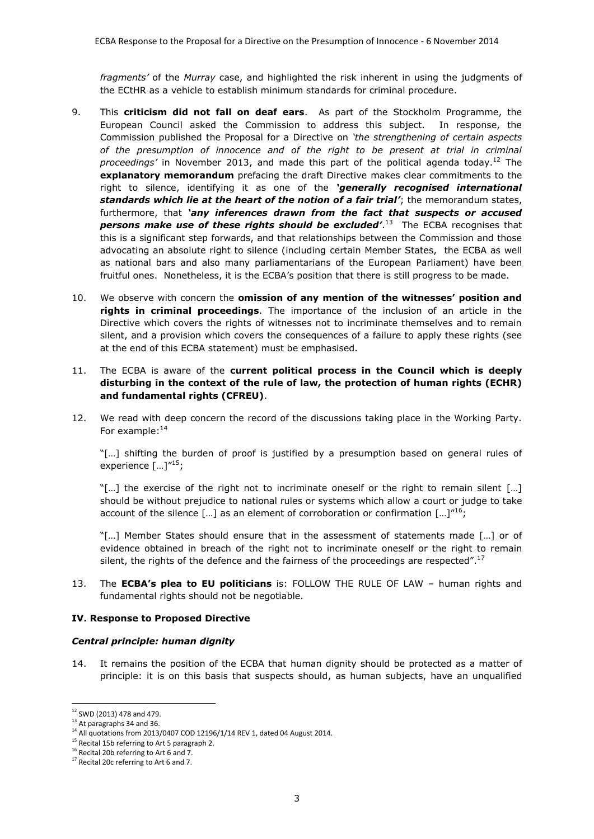*fragments'* of the *Murray* case, and highlighted the risk inherent in using the judgments of the ECtHR as a vehicle to establish minimum standards for criminal procedure.

- 9. This **criticism did not fall on deaf ears**. As part of the Stockholm Programme, the European Council asked the Commission to address this subject. In response, the Commission published the Proposal for a Directive on *'the strengthening of certain aspects of the presumption of innocence and of the right to be present at trial in criminal proceedings'* in November 2013, and made this part of the political agenda today. <sup>12</sup> The **explanatory memorandum** prefacing the draft Directive makes clear commitments to the right to silence, identifying it as one of the *'generally recognised international standards which lie at the heart of the notion of a fair trial'*; the memorandum states, furthermore, that *'any inferences drawn from the fact that suspects or accused persons make use of these rights should be excluded'*. 13 The ECBA recognises that this is a significant step forwards, and that relationships between the Commission and those advocating an absolute right to silence (including certain Member States, the ECBA as well as national bars and also many parliamentarians of the European Parliament) have been fruitful ones. Nonetheless, it is the ECBA's position that there is still progress to be made.
- 10. We observe with concern the **omission of any mention of the witnesses' position and rights in criminal proceedings**. The importance of the inclusion of an article in the Directive which covers the rights of witnesses not to incriminate themselves and to remain silent, and a provision which covers the consequences of a failure to apply these rights (see at the end of this ECBA statement) must be emphasised.
- 11. The ECBA is aware of the **current political process in the Council which is deeply disturbing in the context of the rule of law, the protection of human rights (ECHR) and fundamental rights (CFREU)**.
- 12. We read with deep concern the record of the discussions taking place in the Working Party. For example:<sup>14</sup>

"[…] shifting the burden of proof is justified by a presumption based on general rules of experience  $\left[\ldots\right]^{n15}$ ;

"[...] the exercise of the right not to incriminate oneself or the right to remain silent [...] should be without prejudice to national rules or systems which allow a court or judge to take account of the silence [...] as an element of corroboration or confirmation  $\lceil ... \rceil^{n16}$ ;

"[…] Member States should ensure that in the assessment of statements made […] or of evidence obtained in breach of the right not to incriminate oneself or the right to remain silent, the rights of the defence and the fairness of the proceedings are respected".<sup>17</sup>

13. The **ECBA's plea to EU politicians** is: FOLLOW THE RULE OF LAW – human rights and fundamental rights should not be negotiable.

#### **IV. Response to Proposed Directive**

#### *Central principle: human dignity*

14. It remains the position of the ECBA that human dignity should be protected as a matter of principle: it is on this basis that suspects should, as human subjects, have an unqualified

1

<sup>&</sup>lt;sup>12</sup> SWD (2013) 478 and 479.

<sup>&</sup>lt;sup>13</sup> At paragraphs 34 and 36.

 $14$  All quotations from 2013/0407 COD 12196/1/14 REV 1, dated 04 August 2014.

<sup>&</sup>lt;sup>15</sup> Recital 15b referring to Art 5 paragraph 2.

<sup>&</sup>lt;sup>16</sup> Recital 20b referring to Art 6 and 7.

<sup>&</sup>lt;sup>17</sup> Recital 20c referring to Art 6 and 7.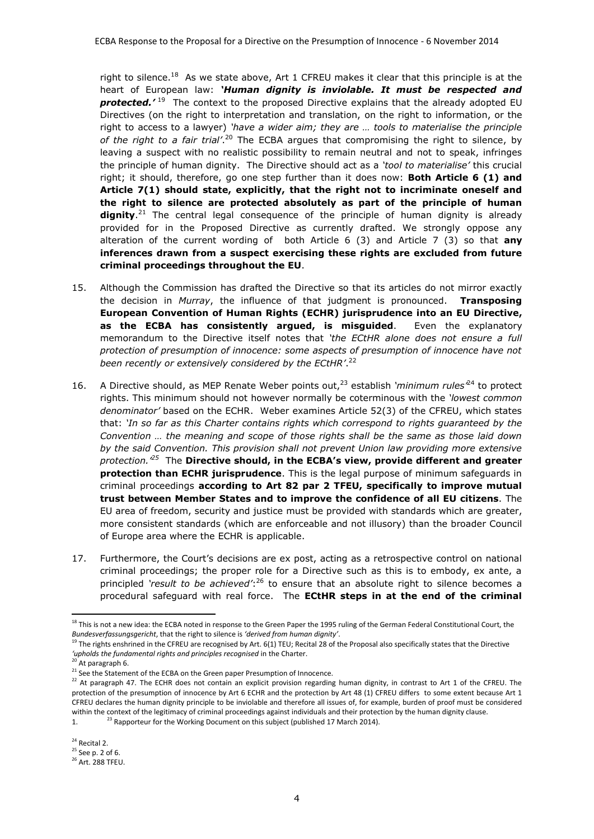right to silence.<sup>18</sup> As we state above, Art 1 CFREU makes it clear that this principle is at the heart of European law: *'Human dignity is inviolable. It must be respected and*  **protected.'** <sup>19</sup> The context to the proposed Directive explains that the already adopted EU Directives (on the right to interpretation and translation, on the right to information, or the right to access to a lawyer) *'have a wider aim; they are … tools to materialise the principle*  of the right to a fair trial<sup>'' 20</sup> The ECBA argues that compromising the right to silence, by leaving a suspect with no realistic possibility to remain neutral and not to speak, infringes the principle of human dignity. The Directive should act as a *'tool to materialise'* this crucial right; it should, therefore, go one step further than it does now: **Both Article 6 (1) and Article 7(1) should state, explicitly, that the right not to incriminate oneself and the right to silence are protected absolutely as part of the principle of human dignity**. <sup>21</sup> The central legal consequence of the principle of human dignity is already provided for in the Proposed Directive as currently drafted. We strongly oppose any alteration of the current wording of both Article 6 (3) and Article 7 (3) so that **any inferences drawn from a suspect exercising these rights are excluded from future criminal proceedings throughout the EU**.

- 15. Although the Commission has drafted the Directive so that its articles do not mirror exactly the decision in *Murray*, the influence of that judgment is pronounced. **Transposing European Convention of Human Rights (ECHR) jurisprudence into an EU Directive, as the ECBA has consistently argued, is misguided**. Even the explanatory memorandum to the Directive itself notes that *'the ECtHR alone does not ensure a full protection of presumption of innocence: some aspects of presumption of innocence have not been recently or extensively considered by the ECtHR'*. 22
- 16. A Directive should, as MEP Renate Weber points out,<sup>23</sup> establish *'minimum rules<sup>24</sup>* to protect rights. This minimum should not however normally be coterminous with the *'lowest common denominator'* based on the ECHR. Weber examines Article 52(3) of the CFREU, which states that: *'In so far as this Charter contains rights which correspond to rights guaranteed by the Convention … the meaning and scope of those rights shall be the same as those laid down by the said Convention. This provision shall not prevent Union law providing more extensive protection.'<sup>25</sup>* The **Directive should, in the ECBA's view, provide different and greater protection than ECHR jurisprudence**. This is the legal purpose of minimum safeguards in criminal proceedings **according to Art 82 par 2 TFEU, specifically to improve mutual trust between Member States and to improve the confidence of all EU citizens**. The EU area of freedom, security and justice must be provided with standards which are greater, more consistent standards (which are enforceable and not illusory) than the broader Council of Europe area where the ECHR is applicable.
- 17. Furthermore, the Court's decisions are ex post, acting as a retrospective control on national criminal proceedings; the proper role for a Directive such as this is to embody, ex ante, a principled *'result to be achieved'*: <sup>26</sup> to ensure that an absolute right to silence becomes a procedural safeguard with real force. The **ECtHR steps in at the end of the criminal**

 $^{18}$  This is not a new idea: the ECBA noted in response to the Green Paper the 1995 ruling of the German Federal Constitutional Court, the *Bundesverfassungsgericht*, that the right to silence is *'derived from human dignity'*.

 $19$  The rights enshrined in the CFREU are recognised by Art. 6(1) TEU; Recital 28 of the Proposal also specifically states that the Directive *'upholds the fundamental rights and principles recognised* in the Charter.

 $^{\prime}$  At paragraph 6.

<sup>21</sup> See the Statement of the ECBA on the Green paper Presumption of Innocence.

<sup>22</sup> At paragraph 47. The ECHR does not contain an explicit provision regarding human dignity, in contrast to Art 1 of the CFREU. The protection of the presumption of innocence by Art 6 ECHR and the protection by Art 48 (1) CFREU differs to some extent because Art 1 CFREU declares the human dignity principle to be inviolable and therefore all issues of, for example, burden of proof must be considered within the context of the legitimacy of criminal proceedings against individuals and their protection by the human dignity clause. 1. <sup>23</sup> Rapporteur for the Working Document on this subject (published 17 March 2014).

<sup>24</sup> Recital 2.

<sup>&</sup>lt;sup>25</sup> See p. 2 of 6.

<sup>&</sup>lt;sup>26</sup> Art. 288 TFEU.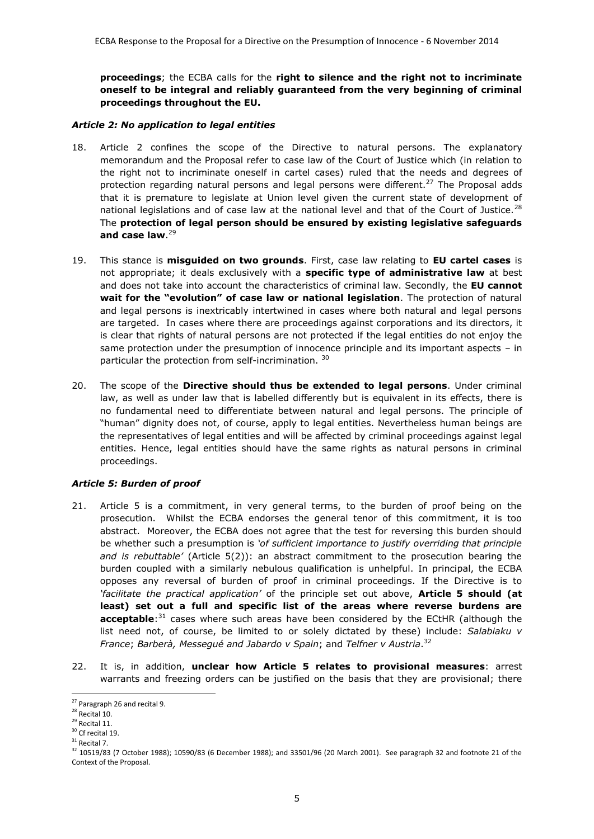**proceedings**; the ECBA calls for the **right to silence and the right not to incriminate oneself to be integral and reliably guaranteed from the very beginning of criminal proceedings throughout the EU.**

#### *Article 2: No application to legal entities*

- 18. Article 2 confines the scope of the Directive to natural persons. The explanatory memorandum and the Proposal refer to case law of the Court of Justice which (in relation to the right not to incriminate oneself in cartel cases) ruled that the needs and degrees of protection regarding natural persons and legal persons were different.<sup>27</sup> The Proposal adds that it is premature to legislate at Union level given the current state of development of national legislations and of case law at the national level and that of the Court of Justice.<sup>28</sup> The **protection of legal person should be ensured by existing legislative safeguards and case law**. 29
- 19. This stance is **misguided on two grounds**. First, case law relating to **EU cartel cases** is not appropriate; it deals exclusively with a **specific type of administrative law** at best and does not take into account the characteristics of criminal law. Secondly, the **EU cannot wait for the "evolution" of case law or national legislation**. The protection of natural and legal persons is inextricably intertwined in cases where both natural and legal persons are targeted. In cases where there are proceedings against corporations and its directors, it is clear that rights of natural persons are not protected if the legal entities do not enjoy the same protection under the presumption of innocence principle and its important aspects – in particular the protection from self-incrimination. <sup>30</sup>
- 20. The scope of the **Directive should thus be extended to legal persons**. Under criminal law, as well as under law that is labelled differently but is equivalent in its effects, there is no fundamental need to differentiate between natural and legal persons. The principle of "human" dignity does not, of course, apply to legal entities. Nevertheless human beings are the representatives of legal entities and will be affected by criminal proceedings against legal entities. Hence, legal entities should have the same rights as natural persons in criminal proceedings.

#### *Article 5: Burden of proof*

- 21. Article 5 is a commitment, in very general terms, to the burden of proof being on the prosecution. Whilst the ECBA endorses the general tenor of this commitment, it is too abstract. Moreover, the ECBA does not agree that the test for reversing this burden should be whether such a presumption is *'of sufficient importance to justify overriding that principle and is rebuttable'* (Article 5(2)): an abstract commitment to the prosecution bearing the burden coupled with a similarly nebulous qualification is unhelpful. In principal, the ECBA opposes any reversal of burden of proof in criminal proceedings. If the Directive is to *'facilitate the practical application'* of the principle set out above, **Article 5 should (at least) set out a full and specific list of the areas where reverse burdens are acceptable**:<sup>31</sup> cases where such areas have been considered by the ECtHR (although the list need not, of course, be limited to or solely dictated by these) include: *Salabiaku v France*; *Barberà, Messegué and Jabardo v Spain*; and *Telfner v Austria*. 32
- 22. It is, in addition, **unclear how Article 5 relates to provisional measures**: arrest warrants and freezing orders can be justified on the basis that they are provisional; there

<sup>&</sup>lt;sup>27</sup> Paragraph 26 and recital 9.

 $28$  Recital 10.

<sup>29</sup> Recital 11.

<sup>&</sup>lt;sup>30</sup> Cf recital 19.

 $31$  Recital 7.

 $32$  10519/83 (7 October 1988); 10590/83 (6 December 1988); and 33501/96 (20 March 2001). See paragraph 32 and footnote 21 of the Context of the Proposal.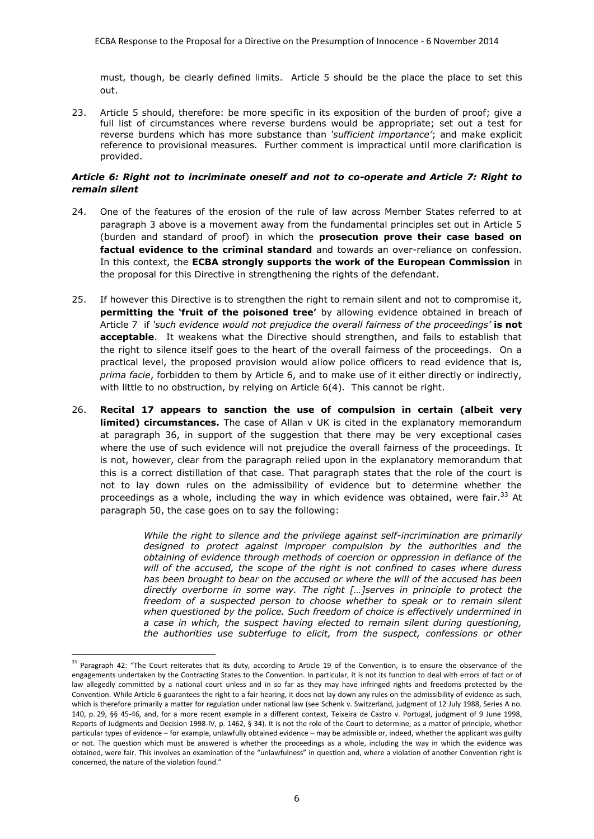must, though, be clearly defined limits. Article 5 should be the place the place to set this out.

23. Article 5 should, therefore: be more specific in its exposition of the burden of proof; give a full list of circumstances where reverse burdens would be appropriate; set out a test for reverse burdens which has more substance than *'sufficient importance'*; and make explicit reference to provisional measures. Further comment is impractical until more clarification is provided.

#### *Article 6: Right not to incriminate oneself and not to co-operate and Article 7: Right to remain silent*

- 24. One of the features of the erosion of the rule of law across Member States referred to at paragraph 3 above is a movement away from the fundamental principles set out in Article 5 (burden and standard of proof) in which the **prosecution prove their case based on factual evidence to the criminal standard** and towards an over-reliance on confession. In this context, the **ECBA strongly supports the work of the European Commission** in the proposal for this Directive in strengthening the rights of the defendant.
- 25. If however this Directive is to strengthen the right to remain silent and not to compromise it, **permitting the 'fruit of the poisoned tree'** by allowing evidence obtained in breach of Article 7 if *'such evidence would not prejudice the overall fairness of the proceedings'* **is not acceptable**. It weakens what the Directive should strengthen, and fails to establish that the right to silence itself goes to the heart of the overall fairness of the proceedings. On a practical level, the proposed provision would allow police officers to read evidence that is, *prima facie*, forbidden to them by Article 6, and to make use of it either directly or indirectly, with little to no obstruction, by relying on Article 6(4). This cannot be right.
- 26. **Recital 17 appears to sanction the use of compulsion in certain (albeit very limited) circumstances.** The case of Allan v UK is cited in the explanatory memorandum at paragraph 36, in support of the suggestion that there may be very exceptional cases where the use of such evidence will not prejudice the overall fairness of the proceedings. It is not, however, clear from the paragraph relied upon in the explanatory memorandum that this is a correct distillation of that case. That paragraph states that the role of the court is not to lay down rules on the admissibility of evidence but to determine whether the proceedings as a whole, including the way in which evidence was obtained, were fair.<sup>33</sup> At paragraph 50, the case goes on to say the following:

*While the right to silence and the privilege against self-incrimination are primarily designed to protect against improper compulsion by the authorities and the obtaining of evidence through methods of coercion or oppression in defiance of the will of the accused, the scope of the right is not confined to cases where duress has been brought to bear on the accused or where the will of the accused has been directly overborne in some way. The right […]serves in principle to protect the freedom of a suspected person to choose whether to speak or to remain silent when questioned by the police. Such freedom of choice is effectively undermined in a case in which, the suspect having elected to remain silent during questioning, the authorities use subterfuge to elicit, from the suspect, confessions or other* 

<sup>&</sup>lt;sup>33</sup> Paragraph 42: "The Court reiterates that its duty, according to Article 19 of the Convention, is to ensure the observance of the engagements undertaken by the Contracting States to the Convention. In particular, it is not its function to deal with errors of fact or of law allegedly committed by a national court unless and in so far as they may have infringed rights and freedoms protected by the Convention. While Article 6 guarantees the right to a fair hearing, it does not lay down any rules on the admissibility of evidence as such, which is therefore primarily a matter for regulation under national law (see Schenk v. Switzerland, judgment of 12 July 1988, Series A no. 140, p. 29, §§ 45-46, and, for a more recent example in a different context, Teixeira de Castro v. Portugal, judgment of 9 June 1998, Reports of Judgments and Decision 1998-IV, p. 1462, § 34). It is not the role of the Court to determine, as a matter of principle, whether particular types of evidence – for example, unlawfully obtained evidence – may be admissible or, indeed, whether the applicant was guilty or not. The question which must be answered is whether the proceedings as a whole, including the way in which the evidence was obtained, were fair. This involves an examination of the "unlawfulness" in question and, where a violation of another Convention right is concerned, the nature of the violation found."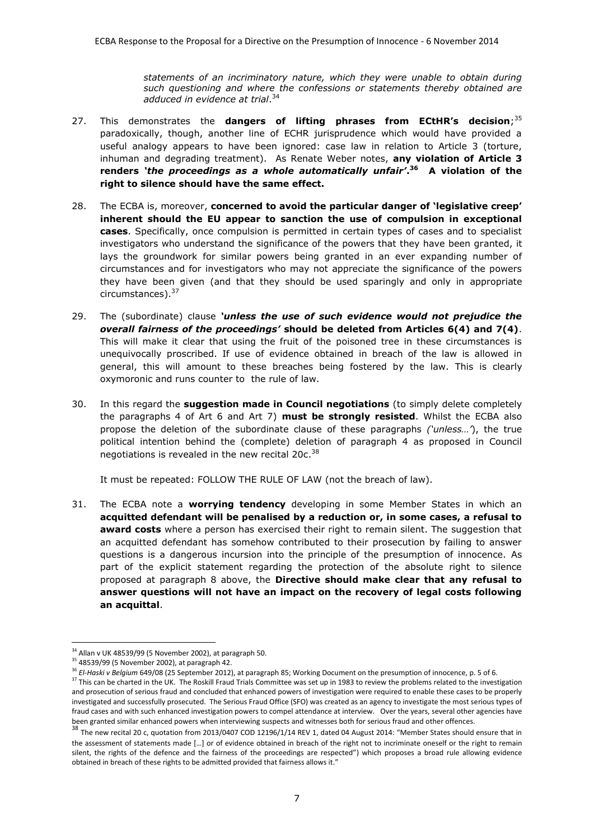*statements of an incriminatory nature, which they were unable to obtain during such questioning and where the confessions or statements thereby obtained are adduced in evidence at trial*. 34

- 27. This demonstrates the **dangers of lifting phrases from ECtHR's decision**; 35 paradoxically, though, another line of ECHR jurisprudence which would have provided a useful analogy appears to have been ignored: case law in relation to Article 3 (torture, inhuman and degrading treatment). As Renate Weber notes, **any violation of Article 3 renders** *'the proceedings as a whole automatically unfair'***. 36 A violation of the right to silence should have the same effect.**
- 28. The ECBA is, moreover, **concerned to avoid the particular danger of 'legislative creep' inherent should the EU appear to sanction the use of compulsion in exceptional cases**. Specifically, once compulsion is permitted in certain types of cases and to specialist investigators who understand the significance of the powers that they have been granted, it lays the groundwork for similar powers being granted in an ever expanding number of circumstances and for investigators who may not appreciate the significance of the powers they have been given (and that they should be used sparingly and only in appropriate circumstances). 37
- 29. The (subordinate) clause *'unless the use of such evidence would not prejudice the overall fairness of the proceedings'* **should be deleted from Articles 6(4) and 7(4)**. This will make it clear that using the fruit of the poisoned tree in these circumstances is unequivocally proscribed. If use of evidence obtained in breach of the law is allowed in general, this will amount to these breaches being fostered by the law. This is clearly oxymoronic and runs counter to the rule of law.
- 30. In this regard the **suggestion made in Council negotiations** (to simply delete completely the paragraphs 4 of Art 6 and Art 7) **must be strongly resisted**. Whilst the ECBA also propose the deletion of the subordinate clause of these paragraphs *('unless…'*), the true political intention behind the (complete) deletion of paragraph 4 as proposed in Council negotiations is revealed in the new recital 20c.<sup>38</sup>

It must be repeated: FOLLOW THE RULE OF LAW (not the breach of law).

31. The ECBA note a **worrying tendency** developing in some Member States in which an **acquitted defendant will be penalised by a reduction or, in some cases, a refusal to award costs** where a person has exercised their right to remain silent. The suggestion that an acquitted defendant has somehow contributed to their prosecution by failing to answer questions is a dangerous incursion into the principle of the presumption of innocence. As part of the explicit statement regarding the protection of the absolute right to silence proposed at paragraph 8 above, the **Directive should make clear that any refusal to answer questions will not have an impact on the recovery of legal costs following an acquittal**.

1

<sup>&</sup>lt;sup>34</sup> Allan v UK 48539/99 (5 November 2002), at paragraph 50.

<sup>35</sup> 48539/99 (5 November 2002), at paragraph 42.

<sup>36</sup> *El-Haski v Belgium* 649/08 (25 September 2012), at paragraph 85; Working Document on the presumption of innocence, p. 5 of 6.

<sup>&</sup>lt;sup>37</sup> This can be charted in the UK. The Roskill Fraud Trials Committee was set up in 1983 to review the problems related to the investigation and prosecution of serious fraud and concluded that enhanced powers of investigation were required to enable these cases to be properly investigated and successfully prosecuted. The Serious Fraud Office (SFO) was created as an agency to investigate the most serious types of fraud cases and with such enhanced investigation powers to compel attendance at interview. Over the years, several other agencies have been granted similar enhanced powers when interviewing suspects and witnesses both for serious fraud and other offences.

<sup>&</sup>lt;sup>38</sup> The new recital 20 c, quotation from 2013/0407 COD 12196/1/14 REV 1, dated 04 August 2014: "Member States should ensure that in the assessment of statements made […] or of evidence obtained in breach of the right not to incriminate oneself or the right to remain silent, the rights of the defence and the fairness of the proceedings are respected") which proposes a broad rule allowing evidence obtained in breach of these rights to be admitted provided that fairness allows it."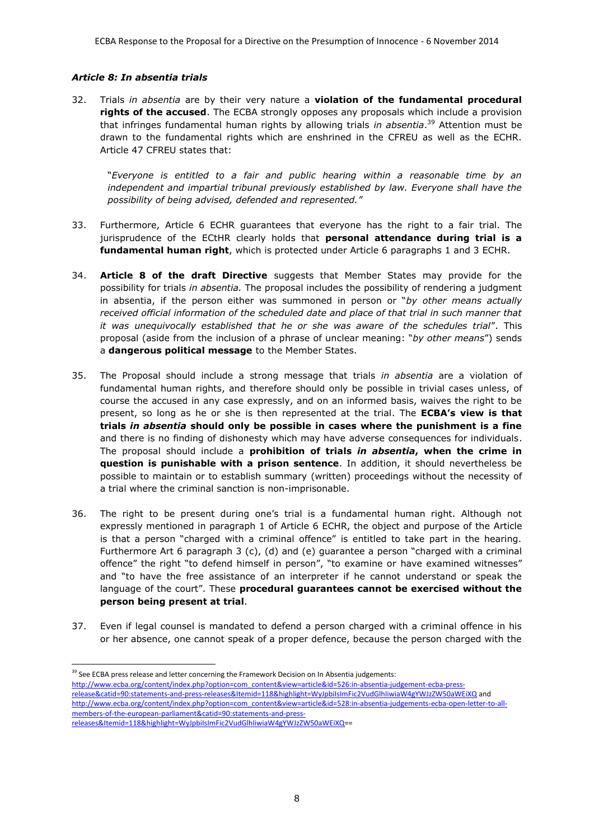### *Article 8: In absentia trials*

32. Trials *in absentia* are by their very nature a **violation of the fundamental procedural rights of the accused**. The ECBA strongly opposes any proposals which include a provision that infringes fundamental human rights by allowing trials *in absentia*. <sup>39</sup> Attention must be drawn to the fundamental rights which are enshrined in the CFREU as well as the ECHR. Article 47 CFREU states that:

"*Everyone is entitled to a fair and public hearing within a reasonable time by an*  independent and impartial tribunal previously established by law. Everyone shall have the *possibility of being advised, defended and represented."*

- 33. Furthermore, Article 6 ECHR guarantees that everyone has the right to a fair trial. The jurisprudence of the ECtHR clearly holds that **personal attendance during trial is a fundamental human right**, which is protected under Article 6 paragraphs 1 and 3 ECHR.
- 34. **Article 8 of the draft Directive** suggests that Member States may provide for the possibility for trials *in absentia.* The proposal includes the possibility of rendering a judgment in absentia, if the person either was summoned in person or "*by other means actually received official information of the scheduled date and place of that trial in such manner that it was unequivocally established that he or she was aware of the schedules trial*". This proposal (aside from the inclusion of a phrase of unclear meaning: "*by other means*") sends a **dangerous political message** to the Member States.
- 35. The Proposal should include a strong message that trials *in absentia* are a violation of fundamental human rights, and therefore should only be possible in trivial cases unless, of course the accused in any case expressly, and on an informed basis, waives the right to be present, so long as he or she is then represented at the trial. The **ECBA's view is that trials** *in absentia* **should only be possible in cases where the punishment is a fine** and there is no finding of dishonesty which may have adverse consequences for individuals. The proposal should include a **prohibition of trials** *in absentia***, when the crime in question is punishable with a prison sentence**. In addition, it should nevertheless be possible to maintain or to establish summary (written) proceedings without the necessity of a trial where the criminal sanction is non-imprisonable.
- 36. The right to be present during one's trial is a fundamental human right. Although not expressly mentioned in paragraph 1 of Article 6 ECHR, the object and purpose of the Article is that a person "charged with a criminal offence" is entitled to take part in the hearing. Furthermore Art 6 paragraph 3 (c), (d) and (e) guarantee a person "charged with a criminal offence" the right "to defend himself in person", "to examine or have examined witnesses" and "to have the free assistance of an interpreter if he cannot understand or speak the language of the court". These **procedural guarantees cannot be exercised without the person being present at trial**.
- 37. Even if legal counsel is mandated to defend a person charged with a criminal offence in his or her absence, one cannot speak of a proper defence, because the person charged with the

 $\overline{\phantom{a}}$ 

<sup>&</sup>lt;sup>39</sup> See ECBA press release and letter concerning the Framework Decision on In Absentia judgements: [http://www.ecba.org/content/index.php?option=com\\_content&view=article&id=526:in-absentia-judgement-ecba-press](http://www.ecba.org/content/index.php?option=com_content&view=article&id=526:in-absentia-judgement-ecba-press-release&catid=90:statements-and-press-releases&Itemid=118&highlight=WyJpbiIsImFic2VudGlhIiwiaW4gYWJzZW50aWEiXQ)[release&catid=90:statements-and-press-releases&Itemid=118&highlight=WyJpbiIsImFic2VudGlhIiwiaW4gYWJzZW50aWEiXQ](http://www.ecba.org/content/index.php?option=com_content&view=article&id=526:in-absentia-judgement-ecba-press-release&catid=90:statements-and-press-releases&Itemid=118&highlight=WyJpbiIsImFic2VudGlhIiwiaW4gYWJzZW50aWEiXQ) and [http://www.ecba.org/content/index.php?option=com\\_content&view=article&id=528:in-absentia-judgements-ecba-open-letter-to-all](http://www.ecba.org/content/index.php?option=com_content&view=article&id=528:in-absentia-judgements-ecba-open-letter-to-all-members-of-the-european-parliament&catid=90:statements-and-press-releases&Itemid=118&highlight=WyJpbiIsImFic2VudGlhIiwiaW4gYWJzZW50aWEiXQ)[members-of-the-european-parliament&catid=90:statements-and-press-](http://www.ecba.org/content/index.php?option=com_content&view=article&id=528:in-absentia-judgements-ecba-open-letter-to-all-members-of-the-european-parliament&catid=90:statements-and-press-releases&Itemid=118&highlight=WyJpbiIsImFic2VudGlhIiwiaW4gYWJzZW50aWEiXQ)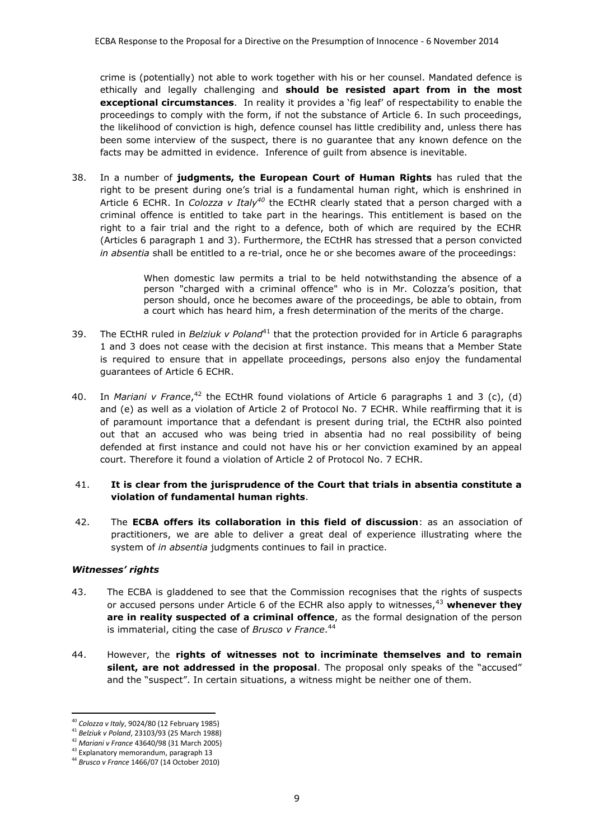crime is (potentially) not able to work together with his or her counsel. Mandated defence is ethically and legally challenging and **should be resisted apart from in the most exceptional circumstances**. In reality it provides a 'fig leaf' of respectability to enable the proceedings to comply with the form, if not the substance of Article 6. In such proceedings, the likelihood of conviction is high, defence counsel has little credibility and, unless there has been some interview of the suspect, there is no guarantee that any known defence on the facts may be admitted in evidence. Inference of guilt from absence is inevitable.

38. In a number of **judgments, the European Court of Human Rights** has ruled that the right to be present during one's trial is a fundamental human right, which is enshrined in Article 6 ECHR. In *Colozza v Italy<sup>40</sup>* the ECtHR clearly stated that a person charged with a criminal offence is entitled to take part in the hearings. This entitlement is based on the right to a fair trial and the right to a defence, both of which are required by the ECHR (Articles 6 paragraph 1 and 3). Furthermore, the ECtHR has stressed that a person convicted *in absentia* shall be entitled to a re-trial, once he or she becomes aware of the proceedings:

> When domestic law permits a trial to be held notwithstanding the absence of a person "charged with a criminal offence" who is in Mr. Colozza's position, that person should, once he becomes aware of the proceedings, be able to obtain, from a court which has heard him, a fresh determination of the merits of the charge.

- 39. The ECtHR ruled in *Belziuk v Poland*<sup>41</sup> that the protection provided for in Article 6 paragraphs 1 and 3 does not cease with the decision at first instance. This means that a Member State is required to ensure that in appellate proceedings, persons also enjoy the fundamental guarantees of Article 6 ECHR.
- 40. In *Mariani v France*, <sup>42</sup> the ECtHR found violations of Article 6 paragraphs 1 and 3 (c), (d) and (e) as well as a violation of Article 2 of Protocol No. 7 ECHR. While reaffirming that it is of paramount importance that a defendant is present during trial, the ECtHR also pointed out that an accused who was being tried in absentia had no real possibility of being defended at first instance and could not have his or her conviction examined by an appeal court. Therefore it found a violation of Article 2 of Protocol No. 7 ECHR.

### 41. **It is clear from the jurisprudence of the Court that trials in absentia constitute a violation of fundamental human rights**.

42. The **ECBA offers its collaboration in this field of discussion**: as an association of practitioners, we are able to deliver a great deal of experience illustrating where the system of *in absentia* judgments continues to fail in practice.

## *Witnesses' rights*

- 43. The ECBA is gladdened to see that the Commission recognises that the rights of suspects or accused persons under Article 6 of the ECHR also apply to witnesses,<sup>43</sup> whenever they **are in reality suspected of a criminal offence**, as the formal designation of the person is immaterial, citing the case of *Brusco v France*. 44
- 44. However, the **rights of witnesses not to incriminate themselves and to remain silent, are not addressed in the proposal**. The proposal only speaks of the "accused" and the "suspect". In certain situations, a witness might be neither one of them.

<sup>40</sup> *Colozza v Italy*, 9024/80 (12 February 1985)

<sup>41</sup> *Belziuk v Poland*, 23103/93 (25 March 1988)

<sup>42</sup> *Mariani v France* 43640/98 (31 March 2005)

<sup>43</sup> Explanatory memorandum, paragraph 13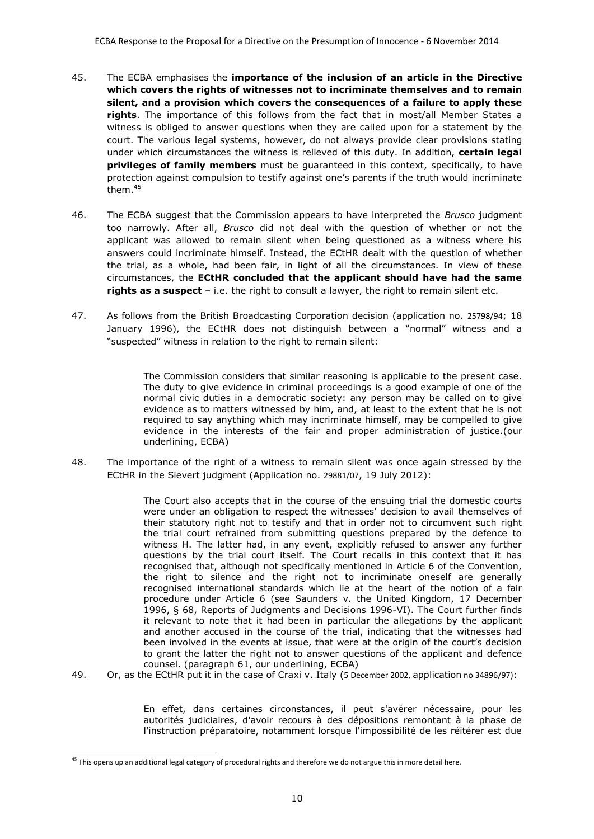- 45. The ECBA emphasises the **importance of the inclusion of an article in the Directive which covers the rights of witnesses not to incriminate themselves and to remain silent, and a provision which covers the consequences of a failure to apply these rights**. The importance of this follows from the fact that in most/all Member States a witness is obliged to answer questions when they are called upon for a statement by the court. The various legal systems, however, do not always provide clear provisions stating under which circumstances the witness is relieved of this duty. In addition, **certain legal privileges of family members** must be guaranteed in this context, specifically, to have protection against compulsion to testify against one's parents if the truth would incriminate them. 45
- 46. The ECBA suggest that the Commission appears to have interpreted the *Brusco* judgment too narrowly. After all, *Brusco* did not deal with the question of whether or not the applicant was allowed to remain silent when being questioned as a witness where his answers could incriminate himself. Instead, the ECtHR dealt with the question of whether the trial, as a whole, had been fair, in light of all the circumstances. In view of these circumstances, the **ECtHR concluded that the applicant should have had the same rights as a suspect** – i.e. the right to consult a lawyer, the right to remain silent etc.
- 47. As follows from the British Broadcasting Corporation decision (application no. [25798/94](http://hudoc.echr.coe.int/sites/eng/pages/search.aspx#%7B%22appno%22:%5B%2225798/94%22%5D%7D); 18 January 1996), the ECtHR does not distinguish between a "normal" witness and a "suspected" witness in relation to the right to remain silent:

The Commission considers that similar reasoning is applicable to the present case. The duty to give evidence in criminal proceedings is a good example of one of the normal civic duties in a democratic society: any person may be called on to give evidence as to matters witnessed by him, and, at least to the extent that he is not required to say anything which may incriminate himself, may be compelled to give evidence in the interests of the fair and proper administration of justice.(our underlining, ECBA)

48. The importance of the right of a witness to remain silent was once again stressed by the ECtHR in the Sievert judgment (Application no. [29881/07](http://hudoc.echr.coe.int/sites/eng/Pages/search.aspx#%7B%22appno%22:%5B%2229881/07%22%5D%7D), 19 July 2012):

> The Court also accepts that in the course of the ensuing trial the domestic courts were under an obligation to respect the witnesses' decision to avail themselves of their statutory right not to testify and that in order not to circumvent such right the trial court refrained from submitting questions prepared by the defence to witness H. The latter had, in any event, explicitly refused to answer any further questions by the trial court itself. The Court recalls in this context that it has recognised that, although not specifically mentioned in Article 6 of the Convention, the right to silence and the right not to incriminate oneself are generally recognised international standards which lie at the heart of the notion of a fair procedure under Article 6 (see Saunders v. the United Kingdom, 17 December 1996, § 68, Reports of Judgments and Decisions 1996-VI). The Court further finds it relevant to note that it had been in particular the allegations by the applicant and another accused in the course of the trial, indicating that the witnesses had been involved in the events at issue, that were at the origin of the court's decision to grant the latter the right not to answer questions of the applicant and defence counsel. (paragraph 61, our underlining, ECBA)

49. Or, as the ECtHR put it in the case of Craxi v. Italy (5 December 2002, application no [34896/97\)](http://hudoc.echr.coe.int/sites/eng/Pages/search.aspx#%7B%22appno%22:%5B%2234896/97%22%5D%7D):

En effet, dans certaines circonstances, il peut s'avérer nécessaire, pour les autorités judiciaires, d'avoir recours à des dépositions remontant à la phase de l'instruction préparatoire, notamment lorsque l'impossibilité de les réitérer est due

 $\overline{\phantom{a}}$ 

<sup>&</sup>lt;sup>45</sup> This opens up an additional legal category of procedural rights and therefore we do not argue this in more detail here.